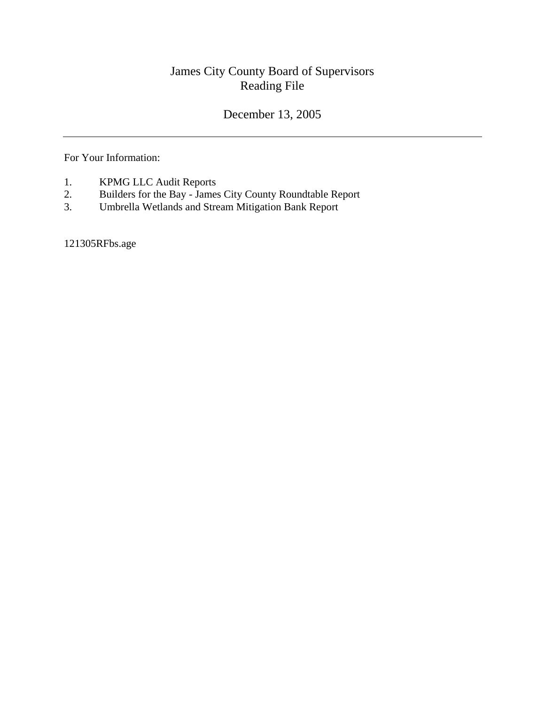## James City County Board of Supervisors Reading File

## December 13, 2005

For Your Information:

- 1. KPMG LLC Audit Reports
- 2. Builders for the Bay James City County Roundtable Report
- 3. Umbrella Wetlands and Stream Mitigation Bank Report

121305RFbs.age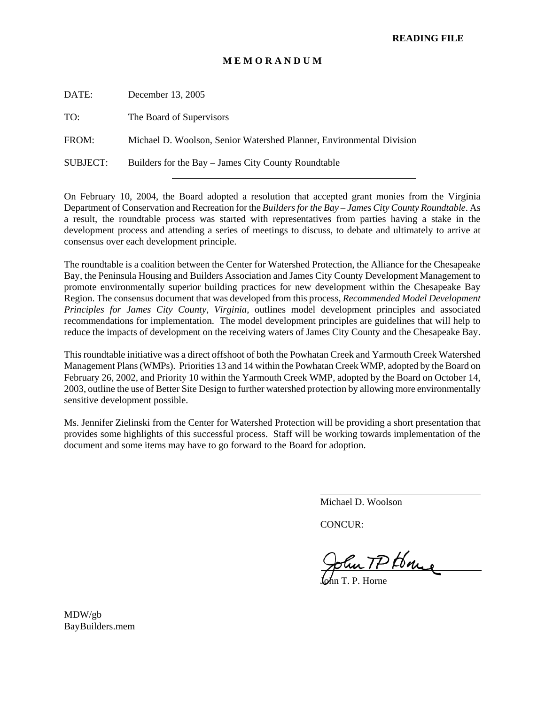## **M E M O R A N D U M**

DATE: December 13, 2005 TO: The Board of Supervisors FROM: Michael D. Woolson, Senior Watershed Planner, Environmental Division SUBJECT: Builders for the Bay – James City County Roundtable

On February 10, 2004, the Board adopted a resolution that accepted grant monies from the Virginia Department of Conservation and Recreation for the *Builders for the Bay – James City County Roundtable*. As a result, the roundtable process was started with representatives from parties having a stake in the development process and attending a series of meetings to discuss, to debate and ultimately to arrive at consensus over each development principle.

The roundtable is a coalition between the Center for Watershed Protection, the Alliance for the Chesapeake Bay, the Peninsula Housing and Builders Association and James City County Development Management to promote environmentally superior building practices for new development within the Chesapeake Bay Region. The consensus document that was developed from this process, *Recommended Model Development Principles for James City County, Virginia,* outlines model development principles and associated recommendations for implementation. The model development principles are guidelines that will help to reduce the impacts of development on the receiving waters of James City County and the Chesapeake Bay.

This roundtable initiative was a direct offshoot of both the Powhatan Creek and Yarmouth Creek Watershed Management Plans (WMPs). Priorities 13 and 14 within the Powhatan Creek WMP, adopted by the Board on February 26, 2002, and Priority 10 within the Yarmouth Creek WMP, adopted by the Board on October 14, 2003, outline the use of Better Site Design to further watershed protection by allowing more environmentally sensitive development possible.

Ms. Jennifer Zielinski from the Center for Watershed Protection will be providing a short presentation that provides some highlights of this successful process. Staff will be working towards implementation of the document and some items may have to go forward to the Board for adoption.

Michael D. Woolson

CONCUR:

 $\overline{a}$ 

John TP House

John T. P. Horne

MDW/gb BayBuilders.mem